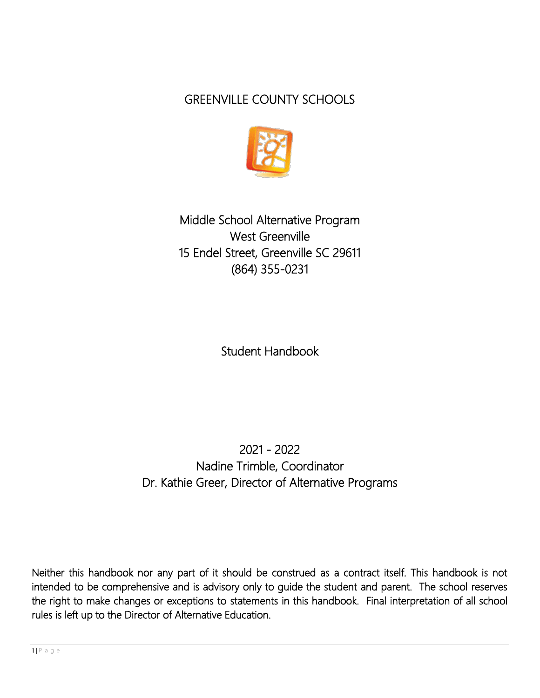# GREENVILLE COUNTY SCHOOLS



Middle School Alternative Program West Greenville 15 Endel Street, Greenville SC 29611 (864) 355-0231

Student Handbook

2021 - 2022 Nadine Trimble, Coordinator Dr. Kathie Greer, Director of Alternative Programs

Neither this handbook nor any part of it should be construed as a contract itself. This handbook is not intended to be comprehensive and is advisory only to guide the student and parent. The school reserves the right to make changes or exceptions to statements in this handbook. Final interpretation of all school rules is left up to the Director of Alternative Education.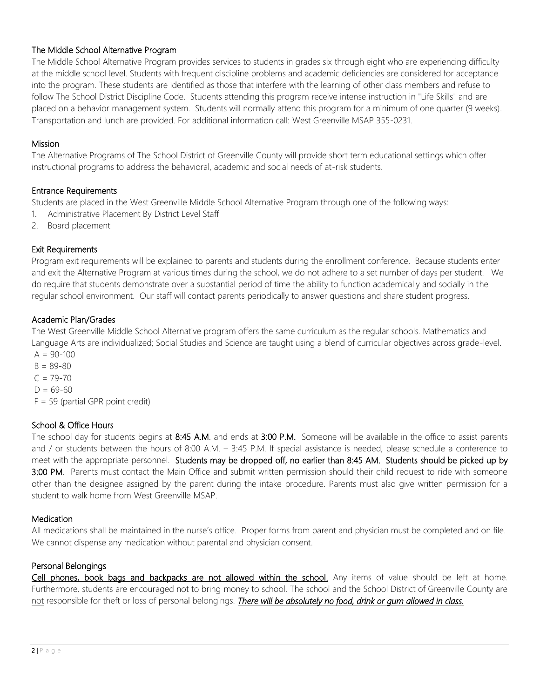# The Middle School Alternative Program

The Middle School Alternative Program provides services to students in grades six through eight who are experiencing difficulty at the middle school level. Students with frequent discipline problems and academic deficiencies are considered for acceptance into the program. These students are identified as those that interfere with the learning of other class members and refuse to follow The School District Discipline Code. Students attending this program receive intense instruction in "Life Skills" and are placed on a behavior management system. Students will normally attend this program for a minimum of one quarter (9 weeks). Transportation and lunch are provided. For additional information call: West Greenville MSAP 355-0231.

# Mission

The Alternative Programs of The School District of Greenville County will provide short term educational settings which offer instructional programs to address the behavioral, academic and social needs of at-risk students.

#### Entrance Requirements

Students are placed in the West Greenville Middle School Alternative Program through one of the following ways:

- 1. Administrative Placement By District Level Staff
- 2. Board placement

# Exit Requirements

Program exit requirements will be explained to parents and students during the enrollment conference. Because students enter and exit the Alternative Program at various times during the school, we do not adhere to a set number of days per student. We do require that students demonstrate over a substantial period of time the ability to function academically and socially in the regular school environment. Our staff will contact parents periodically to answer questions and share student progress.

# Academic Plan/Grades

The West Greenville Middle School Alternative program offers the same curriculum as the regular schools. Mathematics and Language Arts are individualized; Social Studies and Science are taught using a blend of curricular objectives across grade-level.  $A = 90 - 100$ 

 $B = 89 - 80$  $C = 79 - 70$  $D = 69-60$  $F = 59$  (partial GPR point credit)

# School & Office Hours

The school day for students begins at 8:45 A.M. and ends at 3:00 P.M. Someone will be available in the office to assist parents and / or students between the hours of 8:00 A.M. – 3:45 P.M. If special assistance is needed, please schedule a conference to meet with the appropriate personnel. Students may be dropped off, no earlier than 8:45 AM. Students should be picked up by 3:00 PM. Parents must contact the Main Office and submit written permission should their child request to ride with someone other than the designee assigned by the parent during the intake procedure. Parents must also give written permission for a student to walk home from West Greenville MSAP.

#### **Medication**

All medications shall be maintained in the nurse's office. Proper forms from parent and physician must be completed and on file. We cannot dispense any medication without parental and physician consent.

# Personal Belongings

Cell phones, book bags and backpacks are not allowed within the school. Any items of value should be left at home. Furthermore, students are encouraged not to bring money to school. The school and the School District of Greenville County are not responsible for theft or loss of personal belongings. **There will be absolutely no food, drink or gum allowed in class.**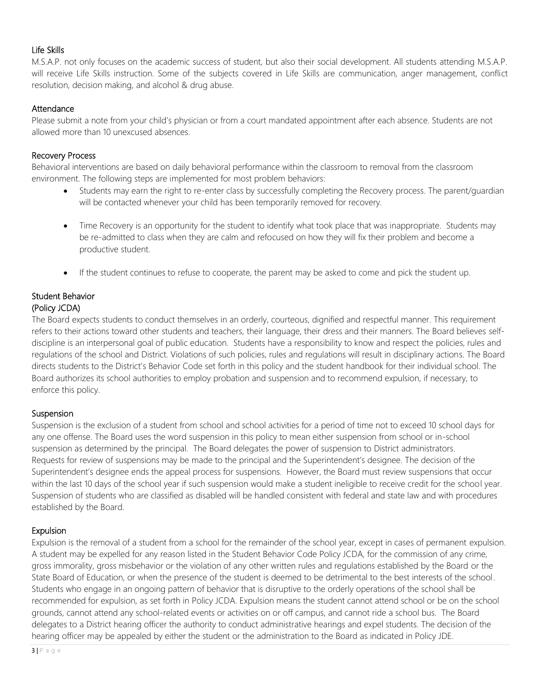#### Life Skills

M.S.A.P. not only focuses on the academic success of student, but also their social development. All students attending M.S.A.P. will receive Life Skills instruction. Some of the subjects covered in Life Skills are communication, anger management, conflict resolution, decision making, and alcohol & drug abuse.

#### **Attendance**

Please submit a note from your child's physician or from a court mandated appointment after each absence. Students are not allowed more than 10 unexcused absences.

# Recovery Process

Behavioral interventions are based on daily behavioral performance within the classroom to removal from the classroom environment. The following steps are implemented for most problem behaviors:

- Students may earn the right to re-enter class by successfully completing the Recovery process. The parent/guardian will be contacted whenever your child has been temporarily removed for recovery.
- Time Recovery is an opportunity for the student to identify what took place that was inappropriate. Students may be re-admitted to class when they are calm and refocused on how they will fix their problem and become a productive student.
- If the student continues to refuse to cooperate, the parent may be asked to come and pick the student up.

# Student Behavior (Policy JCDA)

The Board expects students to conduct themselves in an orderly, courteous, dignified and respectful manner. This requirement refers to their actions toward other students and teachers, their language, their dress and their manners. The Board believes selfdiscipline is an interpersonal goal of public education. Students have a responsibility to know and respect the policies, rules and regulations of the school and District. Violations of such policies, rules and regulations will result in disciplinary actions. The Board directs students to the District's Behavior Code set forth in this policy and the student handbook for their individual school. The Board authorizes its school authorities to employ probation and suspension and to recommend expulsion, if necessary, to enforce this policy.

# **Suspension**

Suspension is the exclusion of a student from school and school activities for a period of time not to exceed 10 school days for any one offense. The Board uses the word suspension in this policy to mean either suspension from school or in-school suspension as determined by the principal. The Board delegates the power of suspension to District administrators. Requests for review of suspensions may be made to the principal and the Superintendent's designee. The decision of the Superintendent's designee ends the appeal process for suspensions. However, the Board must review suspensions that occur within the last 10 days of the school year if such suspension would make a student ineligible to receive credit for the school year. Suspension of students who are classified as disabled will be handled consistent with federal and state law and with procedures established by the Board.

# Expulsion

Expulsion is the removal of a student from a school for the remainder of the school year, except in cases of permanent expulsion. A student may be expelled for any reason listed in the Student Behavior Code Policy JCDA, for the commission of any crime, gross immorality, gross misbehavior or the violation of any other written rules and regulations established by the Board or the State Board of Education, or when the presence of the student is deemed to be detrimental to the best interests of the school. Students who engage in an ongoing pattern of behavior that is disruptive to the orderly operations of the school shall be recommended for expulsion, as set forth in Policy JCDA. Expulsion means the student cannot attend school or be on the school grounds, cannot attend any school-related events or activities on or off campus, and cannot ride a school bus. The Board delegates to a District hearing officer the authority to conduct administrative hearings and expel students. The decision of the hearing officer may be appealed by either the student or the administration to the Board as indicated in Policy JDE.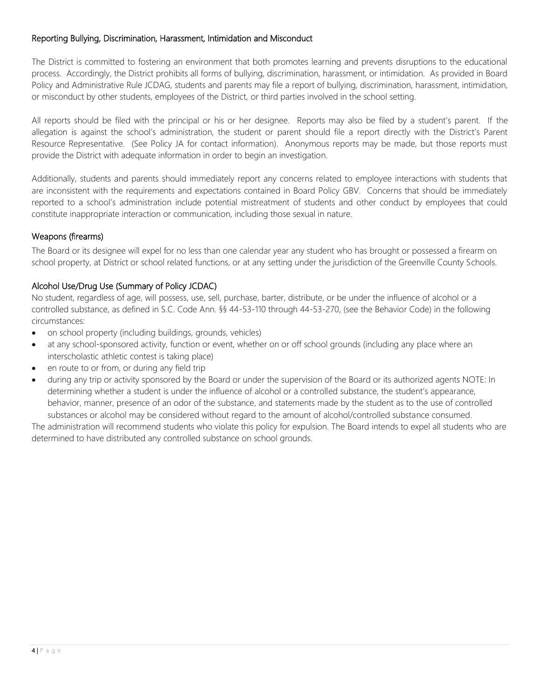# Reporting Bullying, Discrimination, Harassment, Intimidation and Misconduct

The District is committed to fostering an environment that both promotes learning and prevents disruptions to the educational process. Accordingly, the District prohibits all forms of bullying, discrimination, harassment, or intimidation. As provided in Board Policy and Administrative Rule JCDAG, students and parents may file a report of bullying, discrimination, harassment, intimidation, or misconduct by other students, employees of the District, or third parties involved in the school setting.

All reports should be filed with the principal or his or her designee. Reports may also be filed by a student's parent. If the allegation is against the school's administration, the student or parent should file a report directly with the District's Parent Resource Representative. (See Policy JA for contact information). Anonymous reports may be made, but those reports must provide the District with adequate information in order to begin an investigation.

Additionally, students and parents should immediately report any concerns related to employee interactions with students that are inconsistent with the requirements and expectations contained in Board Policy GBV. Concerns that should be immediately reported to a school's administration include potential mistreatment of students and other conduct by employees that could constitute inappropriate interaction or communication, including those sexual in nature.

# Weapons (firearms)

The Board or its designee will expel for no less than one calendar year any student who has brought or possessed a firearm on school property, at District or school related functions, or at any setting under the jurisdiction of the Greenville County Schools.

# Alcohol Use/Drug Use (Summary of Policy JCDAC)

No student, regardless of age, will possess, use, sell, purchase, barter, distribute, or be under the influence of alcohol or a controlled substance, as defined in S.C. Code Ann. §§ 44-53-110 through 44-53-270, (see the Behavior Code) in the following circumstances:

- on school property (including buildings, grounds, vehicles)
- at any school-sponsored activity, function or event, whether on or off school grounds (including any place where an interscholastic athletic contest is taking place)
- en route to or from, or during any field trip
- during any trip or activity sponsored by the Board or under the supervision of the Board or its authorized agents NOTE: In determining whether a student is under the influence of alcohol or a controlled substance, the student's appearance, behavior, manner, presence of an odor of the substance, and statements made by the student as to the use of controlled substances or alcohol may be considered without regard to the amount of alcohol/controlled substance consumed.

The administration will recommend students who violate this policy for expulsion. The Board intends to expel all students who are determined to have distributed any controlled substance on school grounds.